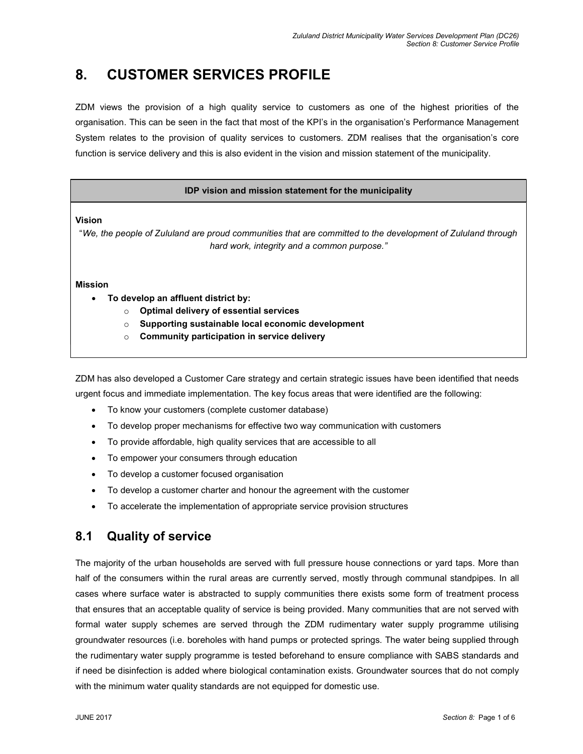# 8. CUSTOMER SERVICES PROFILE

ZDM views the provision of a high quality service to customers as one of the highest priorities of the organisation. This can be seen in the fact that most of the KPI's in the organisation's Performance Management System relates to the provision of quality services to customers. ZDM realises that the organisation's core function is service delivery and this is also evident in the vision and mission statement of the municipality.

#### IDP vision and mission statement for the municipality

#### Vision

"We, the people of Zululand are proud communities that are committed to the development of Zululand through hard work, integrity and a common purpose."

#### Mission

- To develop an affluent district by:
	- o Optimal delivery of essential services
	- o Supporting sustainable local economic development
	- $\circ$  Community participation in service delivery

ZDM has also developed a Customer Care strategy and certain strategic issues have been identified that needs urgent focus and immediate implementation. The key focus areas that were identified are the following:

- To know your customers (complete customer database)
- To develop proper mechanisms for effective two way communication with customers
- To provide affordable, high quality services that are accessible to all
- To empower your consumers through education
- To develop a customer focused organisation
- To develop a customer charter and honour the agreement with the customer
- To accelerate the implementation of appropriate service provision structures

# 8.1 Quality of service

The majority of the urban households are served with full pressure house connections or yard taps. More than half of the consumers within the rural areas are currently served, mostly through communal standpipes. In all cases where surface water is abstracted to supply communities there exists some form of treatment process that ensures that an acceptable quality of service is being provided. Many communities that are not served with formal water supply schemes are served through the ZDM rudimentary water supply programme utilising groundwater resources (i.e. boreholes with hand pumps or protected springs. The water being supplied through the rudimentary water supply programme is tested beforehand to ensure compliance with SABS standards and if need be disinfection is added where biological contamination exists. Groundwater sources that do not comply with the minimum water quality standards are not equipped for domestic use.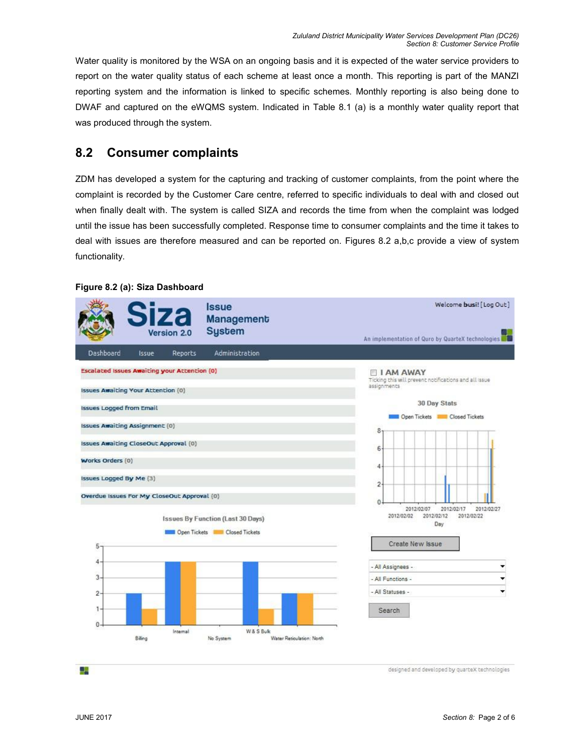Water quality is monitored by the WSA on an ongoing basis and it is expected of the water service providers to report on the water quality status of each scheme at least once a month. This reporting is part of the MANZI reporting system and the information is linked to specific schemes. Monthly reporting is also being done to DWAF and captured on the eWQMS system. Indicated in Table 8.1 (a) is a monthly water quality report that was produced through the system.

# 8.2 Consumer complaints

ZDM has developed a system for the capturing and tracking of customer complaints, from the point where the complaint is recorded by the Customer Care centre, referred to specific individuals to deal with and closed out when finally dealt with. The system is called SIZA and records the time from when the complaint was lodged until the issue has been successfully completed. Response time to consumer complaints and the time it takes to deal with issues are therefore measured and can be reported on. Figures 8.2 a,b,c provide a view of system functionality.

#### Welcome busi! [ Log Out ] **Issue Management Sustem** ersion 2.0 An implementation of Quro by QuarteX technologies Dashboard Issue Reports Administration Escalated Issues Awaiting your Attention (0) **ELAM AWAY** Til **I AM AWAY**<br>Ticking this will prevent notifications and all issue<br>assignments **Issues Awaiting Your Attention (0)** 30 Day Stats **Issues Logged from Email** Open Tickets Closed Tickets **Issues Awaiting Assignment (0)** 8 **Issues Awaiting CloseOut Approval (0)** 6 **Works Orders (0)** 4 Issues Logged By Me (3)  $\overline{c}$ Overdue Issues For My CloseOut Approval (0)  $\ddot{\mathbf{0}}$ 2012/02/07 2012/02/17 2012/02/27 2012/02/02 2012/02/12 2012/02/22 **Issues By Function (Last 30 Days)** Day Open Tickets **In Closed Tickets** Create New Issue 5 4 - All Assignees - $\overline{3}$ - All Functions -۳ - All Statuses - $\overline{2}$ Search  $0$ Internal W & S Bulk Biling No System Water Reticulation: North

#### Figure 8.2 (a): Siza Dashboard

designed and developed by quarteX technologies

44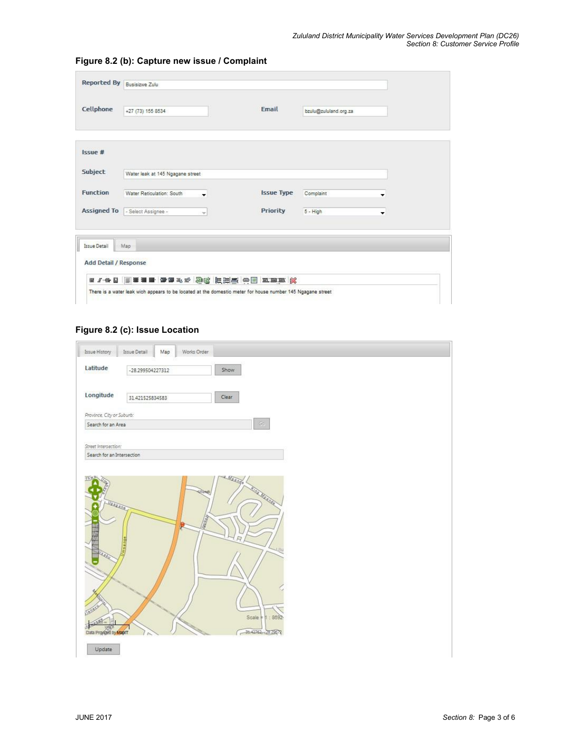| Cellphone          | +27 (73) 155 8534                |    | Fmail             | bzulu@zululand.org.za |   |
|--------------------|----------------------------------|----|-------------------|-----------------------|---|
|                    |                                  |    |                   |                       |   |
| Issue #            |                                  |    |                   |                       |   |
| Subject            | Water leak at 145 Ngagane street |    |                   |                       |   |
| <b>Function</b>    | Water Reticulation: South        | ۰  | <b>Issue Type</b> | Complaint             | ۰ |
| <b>Assigned To</b> | - Select Assignee -              | w. | Priority          | $5 - High$            | ۰ |

### Figure 8.2 (b): Capture new issue / Complaint

## Figure 8.2 (c): Issue Location

| Issue Detail<br>Map        |                                                                         |
|----------------------------|-------------------------------------------------------------------------|
|                            | Works Order                                                             |
| -28.299504227312           | Show                                                                    |
| 31.421525834583            | Clear                                                                   |
| Province, City or Suburb:  |                                                                         |
| Search for an Area         | $\mathbb{G} \mathbb{G}$                                                 |
| Search for an Intersection |                                                                         |
| USSARRE.                   | <b>Ing Manage</b><br>Ulundi.<br><b>CERTIFICATE</b><br>b<br><b>Lilly</b> |
|                            | Street Intersection:                                                    |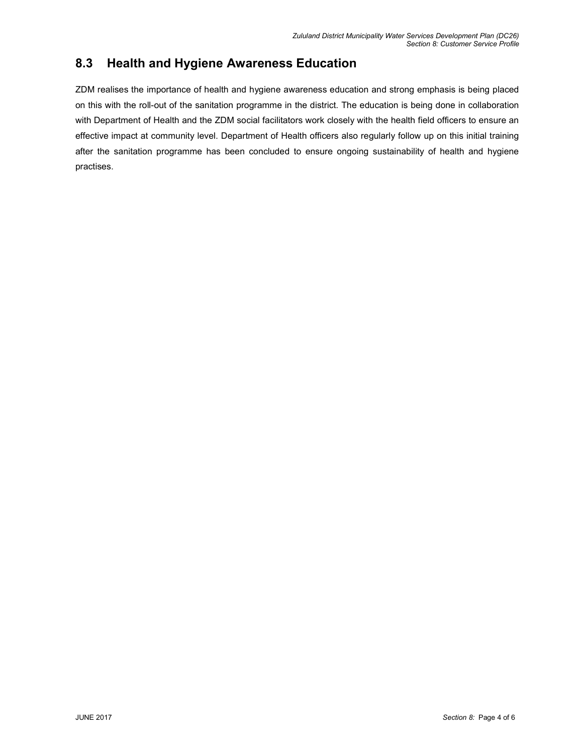# 8.3 Health and Hygiene Awareness Education

ZDM realises the importance of health and hygiene awareness education and strong emphasis is being placed on this with the roll-out of the sanitation programme in the district. The education is being done in collaboration with Department of Health and the ZDM social facilitators work closely with the health field officers to ensure an effective impact at community level. Department of Health officers also regularly follow up on this initial training after the sanitation programme has been concluded to ensure ongoing sustainability of health and hygiene practises.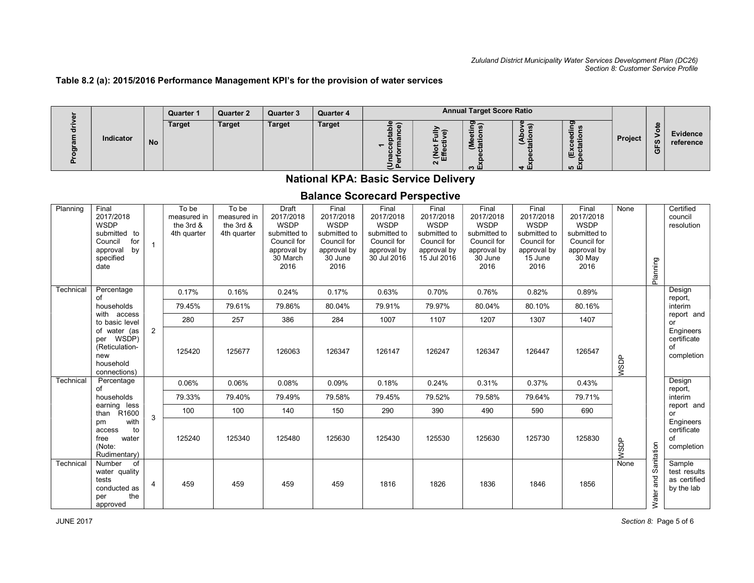### Table 8.2 (a): 2015/2016 Performance Management KPI's for the provision of water services

|        |           |           | Quarter 1 | <b>Quarter 2</b> | <b>Quarter 3</b> | <b>Quarter 4</b> |      |                    | <b>Annual Target Score Ratio</b> |            |                                        |         |                |                       |  |
|--------|-----------|-----------|-----------|------------------|------------------|------------------|------|--------------------|----------------------------------|------------|----------------------------------------|---------|----------------|-----------------------|--|
| m<br>ட | Indicator | <b>No</b> | Target    | <b>Target</b>    | <b>Target</b>    | <b>Target</b>    | ء بے | 一山<br>$\mathbf{N}$ | ີ<br>÷<br>≂<br>ຕ Ш               | ة ت<br>4 m | Ŵ.<br>$\overline{\phantom{0}}$<br>மை ய | Project | <b>SC</b><br>O | Evidence<br>reference |  |

# National KPA: Basic Service Delivery

# Balance Scorecard Perspective

| Planning  | Final<br>2017/2018<br>WSDP<br>submitted to<br>Council<br>for<br>by<br>approval<br>specified<br>date |                | To be<br>measured in<br>the 3rd &<br>4th quarter | To be<br>measured in<br>the 3rd &<br>4th quarter | Draft<br>2017/2018<br><b>WSDP</b><br>submitted to<br>Council for<br>approval by<br>30 March<br>2016 | Final<br>2017/2018<br><b>WSDP</b><br>submitted to<br>Council for<br>approval by<br>30 June<br>2016 | Final<br>2017/2018<br><b>WSDP</b><br>submitted to<br>Council for<br>approval by<br>30 Jul 2016 | Final<br>2017/2018<br><b>WSDP</b><br>submitted to<br>Council for<br>approval by<br>15 Jul 2016 | Final<br>2017/2018<br><b>WSDP</b><br>submitted to<br>Council for<br>approval by<br>30 June<br>2016 | Final<br>2017/2018<br><b>WSDP</b><br>submitted to<br>Council for<br>approval by<br>15 June<br>2016 | Final<br>2017/2018<br><b>WSDP</b><br>submitted to<br>Council for<br>approval by<br>30 May<br>2016 | None        | Planning                                     | Certified<br>council<br>resolution                   |  |
|-----------|-----------------------------------------------------------------------------------------------------|----------------|--------------------------------------------------|--------------------------------------------------|-----------------------------------------------------------------------------------------------------|----------------------------------------------------------------------------------------------------|------------------------------------------------------------------------------------------------|------------------------------------------------------------------------------------------------|----------------------------------------------------------------------------------------------------|----------------------------------------------------------------------------------------------------|---------------------------------------------------------------------------------------------------|-------------|----------------------------------------------|------------------------------------------------------|--|
| Technical | Percentage<br>of                                                                                    |                | 0.17%                                            | 0.16%                                            | 0.24%                                                                                               | 0.17%                                                                                              | 0.63%                                                                                          | 0.70%                                                                                          | 0.76%                                                                                              | 0.82%                                                                                              | 0.89%                                                                                             |             |                                              | Design<br>report,                                    |  |
|           | households                                                                                          |                | 79.45%                                           | 79.61%                                           | 79.86%                                                                                              | 80.04%                                                                                             | 79.91%                                                                                         | 79.97%                                                                                         | 80.04%                                                                                             | 80.10%                                                                                             | 80.16%                                                                                            |             |                                              | interim                                              |  |
|           | with access<br>to basic level                                                                       |                | 280                                              | 257                                              | 386                                                                                                 | 284                                                                                                | 1007                                                                                           | 1107                                                                                           | 1207                                                                                               | 1307                                                                                               | 1407                                                                                              |             |                                              | report and<br>or                                     |  |
|           | of water (as<br>per WSDP)<br>(Reticulation-<br>new<br>household<br>connections)                     | $\overline{2}$ | 125420                                           | 125677                                           | 126063                                                                                              | 126347                                                                                             | 126147                                                                                         | 126247                                                                                         | 126347                                                                                             | 126447                                                                                             | 126547                                                                                            | <b>WSDP</b> |                                              | Engineers<br>certificate<br>of<br>completion         |  |
| Technical | Percentage<br>of                                                                                    |                | 0.06%                                            | 0.06%                                            | 0.08%                                                                                               | 0.09%                                                                                              | 0.18%                                                                                          | 0.24%                                                                                          | 0.31%                                                                                              | 0.37%                                                                                              | 0.43%                                                                                             |             |                                              | Design<br>report,                                    |  |
|           | households                                                                                          |                | 79.33%                                           | 79.40%                                           | 79.49%                                                                                              | 79.58%                                                                                             | 79.45%                                                                                         | 79.52%                                                                                         | 79.58%                                                                                             | 79.64%                                                                                             | 79.71%                                                                                            |             |                                              | interim                                              |  |
|           | earning less<br>R <sub>1600</sub><br>than                                                           | 3              | 100                                              | 100                                              | 140                                                                                                 | 150                                                                                                | 290                                                                                            | 390                                                                                            | 490                                                                                                | 590                                                                                                | 690                                                                                               |             |                                              | report and<br>or                                     |  |
|           | with<br>pm<br>to<br>access<br>water<br>free<br>(Note:<br>Rudimentary)                               |                | 125240                                           | 125340                                           | 125480                                                                                              | 125630                                                                                             | 125430                                                                                         | 125530                                                                                         | 125630                                                                                             | 125730                                                                                             | 125830                                                                                            | <b>NSDP</b> | Engineers<br>certificate<br>of<br>completion |                                                      |  |
| Technical | of<br>Number<br>water quality<br>tests<br>conducted as<br>the<br>per<br>approved                    | $\overline{4}$ | 459                                              | 459                                              | 459                                                                                                 | 459                                                                                                | 1816                                                                                           | 1826                                                                                           | 1836                                                                                               | 1846                                                                                               | 1856                                                                                              | None        | Sanitation<br>and<br>Water                   | Sample<br>test results<br>as certified<br>by the lab |  |